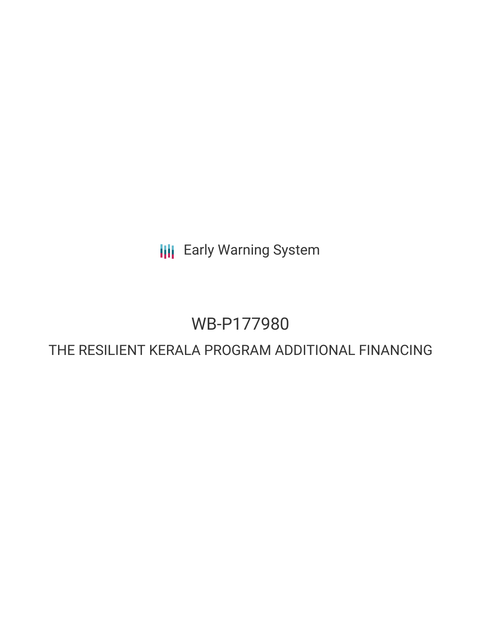**III** Early Warning System

# WB-P177980

# THE RESILIENT KERALA PROGRAM ADDITIONAL FINANCING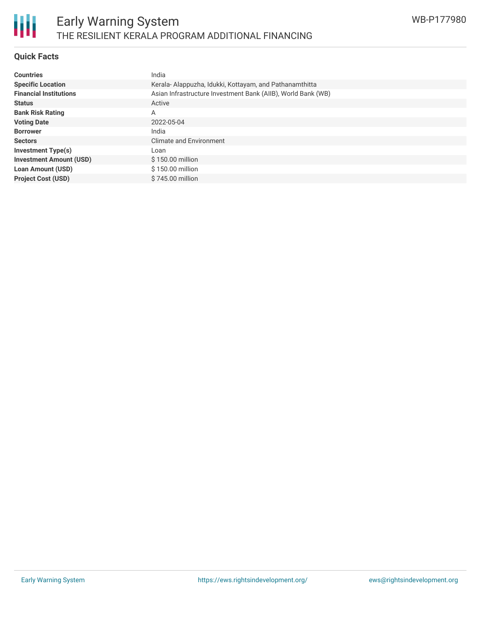# **Quick Facts**

| <b>Countries</b>               | India                                                        |
|--------------------------------|--------------------------------------------------------------|
| <b>Specific Location</b>       | Kerala-Alappuzha, Idukki, Kottayam, and Pathanamthitta       |
| <b>Financial Institutions</b>  | Asian Infrastructure Investment Bank (AIIB), World Bank (WB) |
| <b>Status</b>                  | Active                                                       |
| <b>Bank Risk Rating</b>        | A                                                            |
| <b>Voting Date</b>             | 2022-05-04                                                   |
| <b>Borrower</b>                | India                                                        |
| <b>Sectors</b>                 | <b>Climate and Environment</b>                               |
| <b>Investment Type(s)</b>      | Loan                                                         |
| <b>Investment Amount (USD)</b> | \$150.00 million                                             |
| Loan Amount (USD)              | \$150.00 million                                             |
| <b>Project Cost (USD)</b>      | \$745.00 million                                             |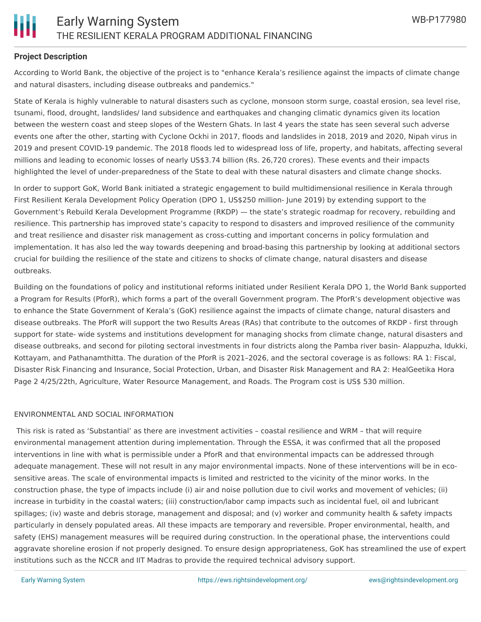### **Project Description**

According to World Bank, the objective of the project is to "enhance Kerala's resilience against the impacts of climate change and natural disasters, including disease outbreaks and pandemics."

State of Kerala is highly vulnerable to natural disasters such as cyclone, monsoon storm surge, coastal erosion, sea level rise, tsunami, flood, drought, landslides/ land subsidence and earthquakes and changing climatic dynamics given its location between the western coast and steep slopes of the Western Ghats. In last 4 years the state has seen several such adverse events one after the other, starting with Cyclone Ockhi in 2017, floods and landslides in 2018, 2019 and 2020, Nipah virus in 2019 and present COVID-19 pandemic. The 2018 floods led to widespread loss of life, property, and habitats, affecting several millions and leading to economic losses of nearly US\$3.74 billion (Rs. 26,720 crores). These events and their impacts highlighted the level of under-preparedness of the State to deal with these natural disasters and climate change shocks.

In order to support GoK, World Bank initiated a strategic engagement to build multidimensional resilience in Kerala through First Resilient Kerala Development Policy Operation (DPO 1, US\$250 million- June 2019) by extending support to the Government's Rebuild Kerala Development Programme (RKDP) — the state's strategic roadmap for recovery, rebuilding and resilience. This partnership has improved state's capacity to respond to disasters and improved resilience of the community and treat resilience and disaster risk management as cross-cutting and important concerns in policy formulation and implementation. It has also led the way towards deepening and broad-basing this partnership by looking at additional sectors crucial for building the resilience of the state and citizens to shocks of climate change, natural disasters and disease outbreaks.

Building on the foundations of policy and institutional reforms initiated under Resilient Kerala DPO 1, the World Bank supported a Program for Results (PforR), which forms a part of the overall Government program. The PforR's development objective was to enhance the State Government of Kerala's (GoK) resilience against the impacts of climate change, natural disasters and disease outbreaks. The PforR will support the two Results Areas (RAs) that contribute to the outcomes of RKDP - first through support for state- wide systems and institutions development for managing shocks from climate change, natural disasters and disease outbreaks, and second for piloting sectoral investments in four districts along the Pamba river basin- Alappuzha, Idukki, Kottayam, and Pathanamthitta. The duration of the PforR is 2021–2026, and the sectoral coverage is as follows: RA 1: Fiscal, Disaster Risk Financing and Insurance, Social Protection, Urban, and Disaster Risk Management and RA 2: HealGeetika Hora Page 2 4/25/22th, Agriculture, Water Resource Management, and Roads. The Program cost is US\$ 530 million.

#### ENVIRONMENTAL AND SOCIAL INFORMATION

This risk is rated as 'Substantial' as there are investment activities – coastal resilience and WRM – that will require environmental management attention during implementation. Through the ESSA, it was confirmed that all the proposed interventions in line with what is permissible under a PforR and that environmental impacts can be addressed through adequate management. These will not result in any major environmental impacts. None of these interventions will be in ecosensitive areas. The scale of environmental impacts is limited and restricted to the vicinity of the minor works. In the construction phase, the type of impacts include (i) air and noise pollution due to civil works and movement of vehicles; (ii) increase in turbidity in the coastal waters; (iii) construction/labor camp impacts such as incidental fuel, oil and lubricant spillages; (iv) waste and debris storage, management and disposal; and (v) worker and community health & safety impacts particularly in densely populated areas. All these impacts are temporary and reversible. Proper environmental, health, and safety (EHS) management measures will be required during construction. In the operational phase, the interventions could aggravate shoreline erosion if not properly designed. To ensure design appropriateness, GoK has streamlined the use of expert institutions such as the NCCR and IIT Madras to provide the required technical advisory support.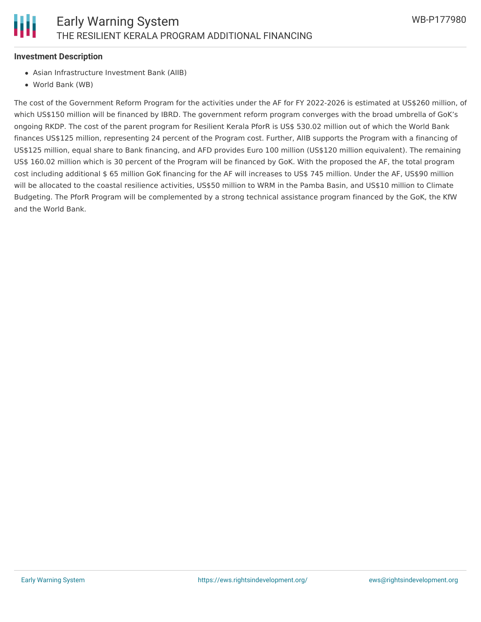

#### **Investment Description**

- Asian Infrastructure Investment Bank (AIIB)
- World Bank (WB)

The cost of the Government Reform Program for the activities under the AF for FY 2022-2026 is estimated at US\$260 million, of which US\$150 million will be financed by IBRD. The government reform program converges with the broad umbrella of GoK's ongoing RKDP. The cost of the parent program for Resilient Kerala PforR is US\$ 530.02 million out of which the World Bank finances US\$125 million, representing 24 percent of the Program cost. Further, AIIB supports the Program with a financing of US\$125 million, equal share to Bank financing, and AFD provides Euro 100 million (US\$120 million equivalent). The remaining US\$ 160.02 million which is 30 percent of the Program will be financed by GoK. With the proposed the AF, the total program cost including additional \$ 65 million GoK financing for the AF will increases to US\$ 745 million. Under the AF, US\$90 million will be allocated to the coastal resilience activities, US\$50 million to WRM in the Pamba Basin, and US\$10 million to Climate Budgeting. The PforR Program will be complemented by a strong technical assistance program financed by the GoK, the KfW and the World Bank.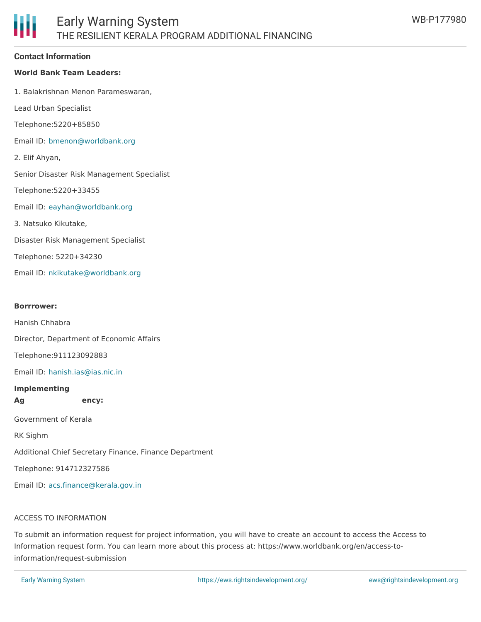#### **Contact Information**

#### **World Bank Team Leaders:**

1. Balakrishnan Menon Parameswaran,

Lead Urban Specialist

Telephone:5220+85850

Email ID: [bmenon@worldbank.org](mailto:bmenon@worldbank.org)

2. Elif Ahyan,

Senior Disaster Risk Management Specialist

Telephone:5220+33455

Email ID: [eayhan@worldbank.org](mailto:eayhan@worldbank.org)

3. Natsuko Kikutake,

Disaster Risk Management Specialist

Telephone: 5220+34230

Email ID: [nkikutake@worldbank.org](mailto:nkikutake@worldbank.org)

#### **Borrrower:**

Hanish Chhabra

Director, Department of Economic Affairs

Telephone:911123092883

Email ID: [hanish.ias@ias.nic.in](mailto:hanish.ias@ias.nic.in)

#### **Implementing**

**Ag ency:**

Government of Kerala

RK Sighm

Additional Chief Secretary Finance, Finance Department

Telephone: 914712327586

Email ID: [acs.finance@kerala.gov.in](mailto:acs.finance@kerala.gov.in)

#### ACCESS TO INFORMATION

To submit an information request for project information, you will have to create an account to access the Access to Information request form. You can learn more about this process at: https://www.worldbank.org/en/access-toinformation/request-submission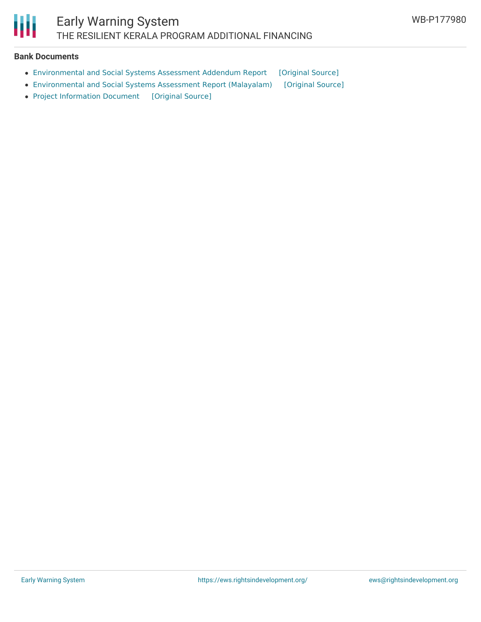

#### **Bank Documents**

- [Environmental](https://ewsdata.rightsindevelopment.org/files/documents/80/WB-P177980_Glf2BOb.pdf) and Social Systems Assessment Addendum Report [\[Original](https://documents1.worldbank.org/curated/en/099910105052212634/pdf/P1779800e0850e060accd0d1f1b9331527.pdf) Source]
- [Environmental](https://ewsdata.rightsindevelopment.org/files/documents/80/WB-P177980_qxyGc8S.pdf) and Social Systems Assessment Report (Malayalam) [\[Original](https://documents1.worldbank.org/curated/en/099440305052237327/pdf/IDU0890480480f73a0495b0ba6b07c9522084915.pdf) Source]
- Project [Information](https://ewsdata.rightsindevelopment.org/files/documents/80/WB-P177980.pdf) Document [\[Original](https://documents1.worldbank.org/curated/en/099330005042215173/pdf/P17798007d26cb000a567031ccc779d757.pdf) Source]